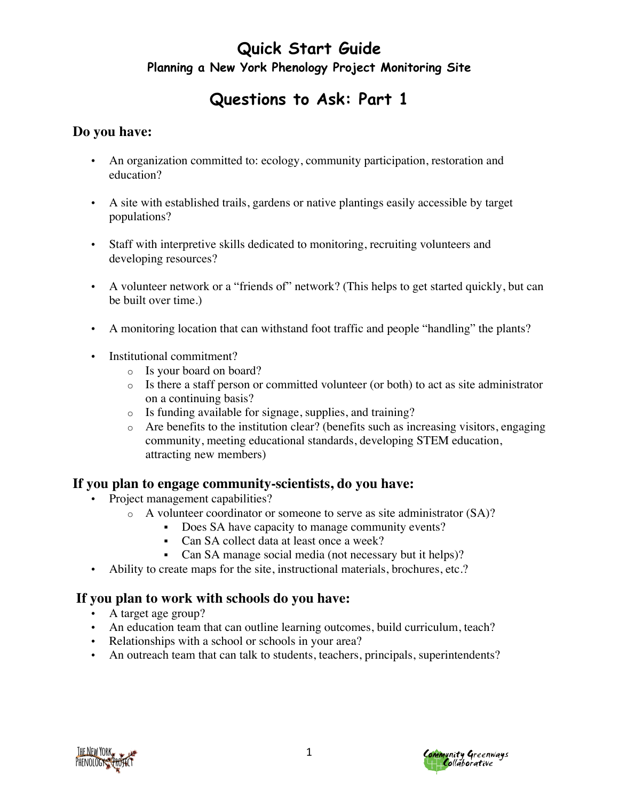## **Questions to Ask: Part 1**

### **Do you have:**

- An organization committed to: ecology, community participation, restoration and education?
- A site with established trails, gardens or native plantings easily accessible by target populations?
- Staff with interpretive skills dedicated to monitoring, recruiting volunteers and developing resources?
- A volunteer network or a "friends of" network? (This helps to get started quickly, but can be built over time.)
- A monitoring location that can withstand foot traffic and people "handling" the plants?
- Institutional commitment?
	- o Is your board on board?
	- $\circ$  Is there a staff person or committed volunteer (or both) to act as site administrator on a continuing basis?
	- o Is funding available for signage, supplies, and training?
	- o Are benefits to the institution clear? (benefits such as increasing visitors, engaging community, meeting educational standards, developing STEM education, attracting new members)

#### **If you plan to engage community-scientists, do you have:**

- Project management capabilities?
	- o A volunteer coordinator or someone to serve as site administrator (SA)?
		- § Does SA have capacity to manage community events?
		- Can SA collect data at least once a week?
		- Can SA manage social media (not necessary but it helps)?
- Ability to create maps for the site, instructional materials, brochures, etc.?

#### **If you plan to work with schools do you have:**

- A target age group?
- An education team that can outline learning outcomes, build curriculum, teach?
- Relationships with a school or schools in your area?
- An outreach team that can talk to students, teachers, principals, superintendents?



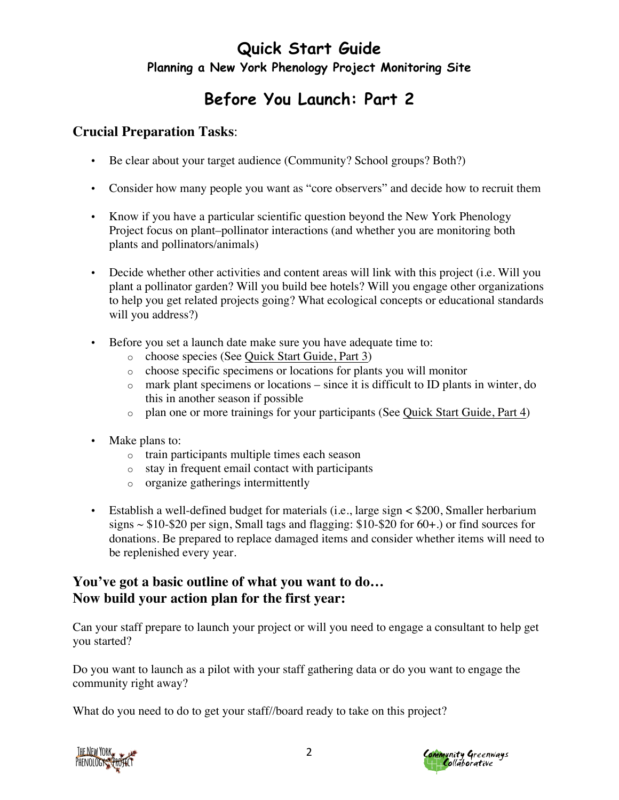# **Before You Launch: Part 2**

### **Crucial Preparation Tasks**:

- Be clear about your target audience (Community? School groups? Both?)
- Consider how many people you want as "core observers" and decide how to recruit them
- Know if you have a particular scientific question beyond the New York Phenology Project focus on plant–pollinator interactions (and whether you are monitoring both plants and pollinators/animals)
- Decide whether other activities and content areas will link with this project (i.e. Will you plant a pollinator garden? Will you build bee hotels? Will you engage other organizations to help you get related projects going? What ecological concepts or educational standards will you address?)
- Before you set a launch date make sure you have adequate time to:
	- o choose species (See Quick Start Guide, Part 3)
	- o choose specific specimens or locations for plants you will monitor
	- o mark plant specimens or locations since it is difficult to ID plants in winter, do this in another season if possible
	- $\circ$  plan one or more trainings for your participants (See Quick Start Guide, Part 4)
- Make plans to:
	- o train participants multiple times each season
	- o stay in frequent email contact with participants
	- o organize gatherings intermittently
- Establish a well-defined budget for materials (i.e., large sign < \$200, Smaller herbarium signs  $\sim$  \$10-\$20 per sign, Small tags and flagging: \$10-\$20 for 60+.) or find sources for donations. Be prepared to replace damaged items and consider whether items will need to be replenished every year.

### **You've got a basic outline of what you want to do… Now build your action plan for the first year:**

Can your staff prepare to launch your project or will you need to engage a consultant to help get you started?

Do you want to launch as a pilot with your staff gathering data or do you want to engage the community right away?

What do you need to do to get your staff//board ready to take on this project?



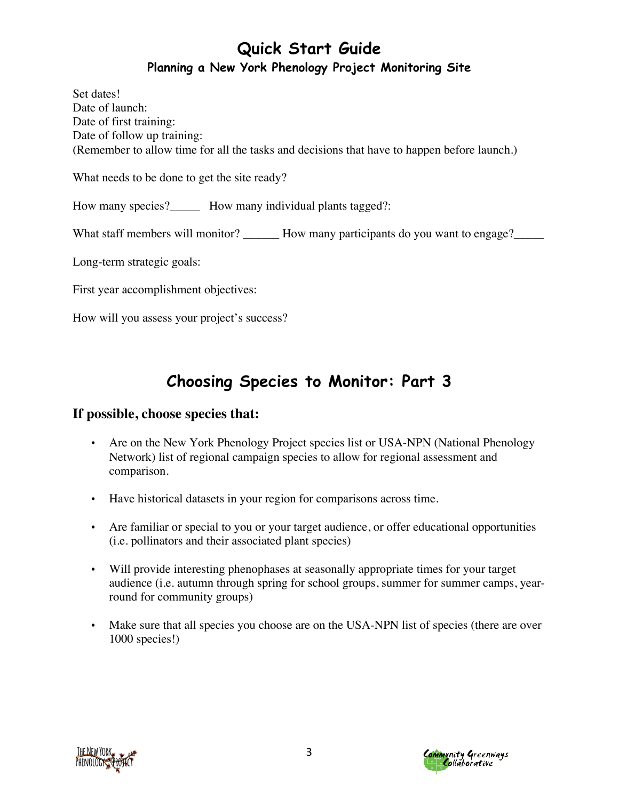Set dates! Date of launch: Date of first training: Date of follow up training: (Remember to allow time for all the tasks and decisions that have to happen before launch.)

What needs to be done to get the site ready?

How many species? How many individual plants tagged?:

What staff members will monitor? How many participants do you want to engage?

Long-term strategic goals:

First year accomplishment objectives:

How will you assess your project's success?

# **Choosing Species to Monitor: Part 3**

### **If possible, choose species that:**

- Are on the New York Phenology Project species list or USA-NPN (National Phenology Network) list of regional campaign species to allow for regional assessment and comparison.
- Have historical datasets in your region for comparisons across time.
- Are familiar or special to you or your target audience, or offer educational opportunities (i.e. pollinators and their associated plant species)
- Will provide interesting phenophases at seasonally appropriate times for your target audience (i.e. autumn through spring for school groups, summer for summer camps, yearround for community groups)
- Make sure that all species you choose are on the USA-NPN list of species (there are over 1000 species!)



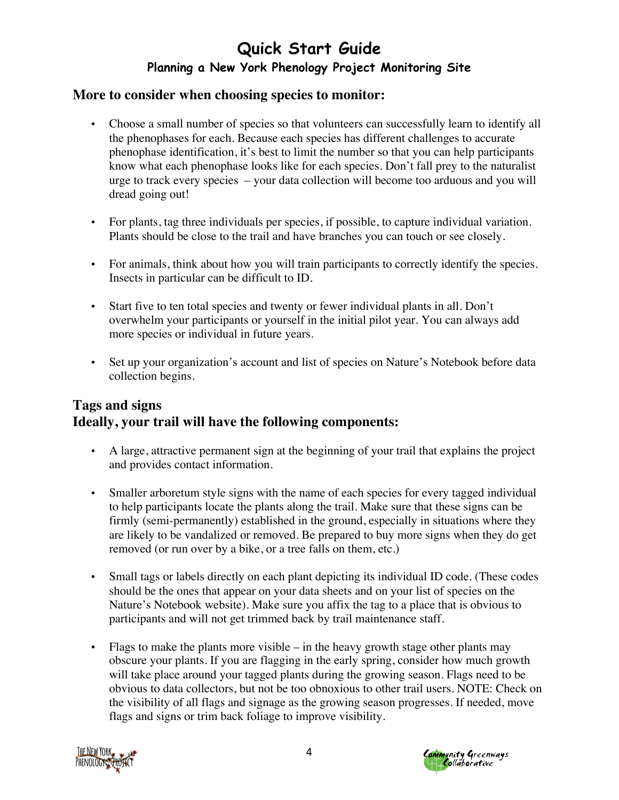#### **More to consider when choosing species to monitor:**

- Choose a small number of species so that volunteers can successfully learn to identify all the phenophases for each. Because each species has different challenges to accurate phenophase identification, it's best to limit the number so that you can help participants know what each phenophase looks like for each species. Don't fall prey to the naturalist urge to track every species – your data collection will become too arduous and you will dread going out!
- For plants, tag three individuals per species, if possible, to capture individual variation. Plants should be close to the trail and have branches you can touch or see closely.
- For animals, think about how you will train participants to correctly identify the species. Insects in particular can be difficult to ID.
- Start five to ten total species and twenty or fewer individual plants in all. Don't overwhelm your participants or yourself in the initial pilot year. You can always add more species or individual in future years.
- Set up your organization's account and list of species on Nature's Notebook before data collection begins.

### **Tags and signs Ideally, your trail will have the following components:**

- A large, attractive permanent sign at the beginning of your trail that explains the project and provides contact information.
- Smaller arboretum style signs with the name of each species for every tagged individual to help participants locate the plants along the trail. Make sure that these signs can be firmly (semi-permanently) established in the ground, especially in situations where they are likely to be vandalized or removed. Be prepared to buy more signs when they do get removed (or run over by a bike, or a tree falls on them, etc.)
- Small tags or labels directly on each plant depicting its individual ID code. (These codes should be the ones that appear on your data sheets and on your list of species on the Nature's Notebook website). Make sure you affix the tag to a place that is obvious to participants and will not get trimmed back by trail maintenance staff.
- Flags to make the plants more visible in the heavy growth stage other plants may obscure your plants. If you are flagging in the early spring, consider how much growth will take place around your tagged plants during the growing season. Flags need to be obvious to data collectors, but not be too obnoxious to other trail users. NOTE: Check on the visibility of all flags and signage as the growing season progresses. If needed, move flags and signs or trim back foliage to improve visibility.



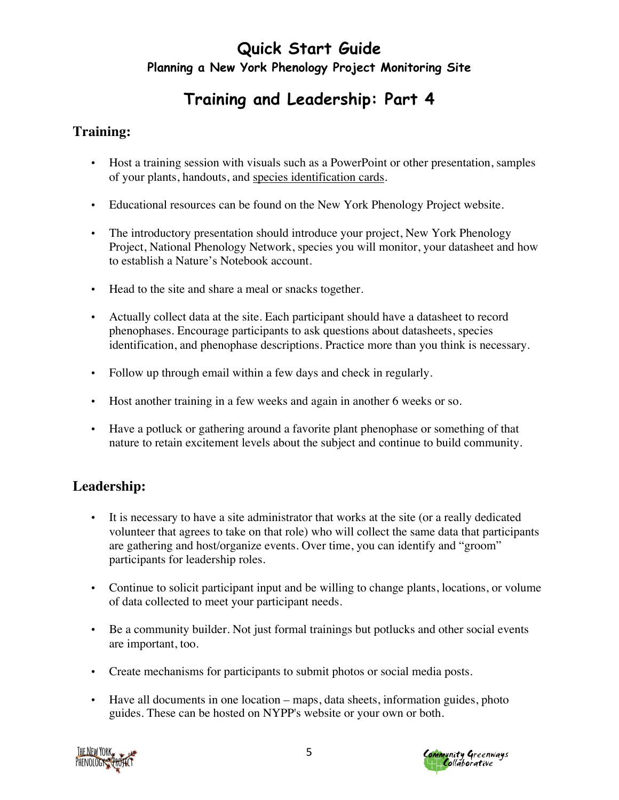# **Training and Leadership: Part 4**

### **Training:**

- Host a training session with visuals such as a PowerPoint or other presentation, samples of your plants, handouts, and species identification cards.
- Educational resources can be found on the New York Phenology Project website.
- The introductory presentation should introduce your project, New York Phenology Project, National Phenology Network, species you will monitor, your datasheet and how to establish a Nature's Notebook account.
- Head to the site and share a meal or snacks together.
- Actually collect data at the site. Each participant should have a datasheet to record phenophases. Encourage participants to ask questions about datasheets, species identification, and phenophase descriptions. Practice more than you think is necessary.
- Follow up through email within a few days and check in regularly.
- Host another training in a few weeks and again in another 6 weeks or so.
- Have a potluck or gathering around a favorite plant phenophase or something of that nature to retain excitement levels about the subject and continue to build community.

### **Leadership:**

- It is necessary to have a site administrator that works at the site (or a really dedicated volunteer that agrees to take on that role) who will collect the same data that participants are gathering and host/organize events. Over time, you can identify and "groom" participants for leadership roles.
- Continue to solicit participant input and be willing to change plants, locations, or volume of data collected to meet your participant needs.
- Be a community builder. Not just formal trainings but potlucks and other social events are important, too.
- Create mechanisms for participants to submit photos or social media posts.
- Have all documents in one location maps, data sheets, information guides, photo guides. These can be hosted on NYPP's website or your own or both.